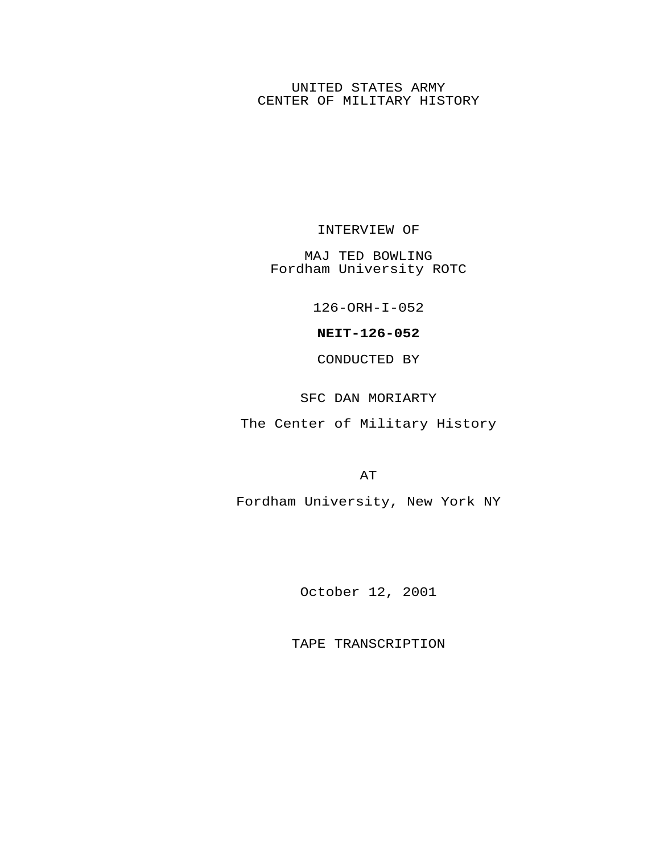## UNITED STATES ARMY CENTER OF MILITARY HISTORY

INTERVIEW OF

MAJ TED BOWLING Fordham University ROTC

126-ORH-I-052

**NEIT-126-052**

CONDUCTED BY

SFC DAN MORIARTY

The Center of Military History

AT

Fordham University, New York NY

October 12, 2001

TAPE TRANSCRIPTION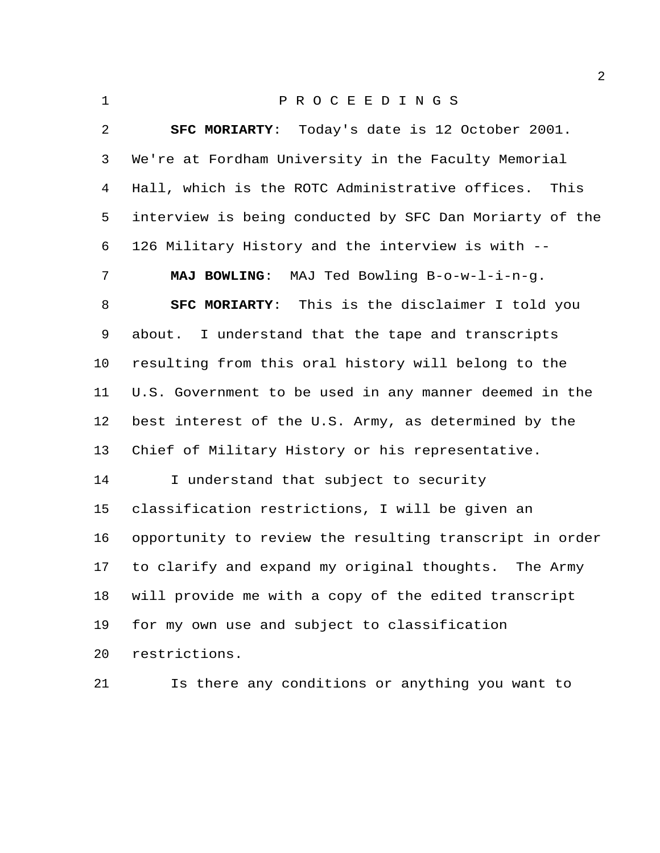| $\mathbf{1}$ | PROCEEDINGS                                             |
|--------------|---------------------------------------------------------|
| 2            | <b>SFC MORIARTY:</b> Today's date is 12 October 2001.   |
| 3            | We're at Fordham University in the Faculty Memorial     |
| 4            | Hall, which is the ROTC Administrative offices.<br>This |
| 5            | interview is being conducted by SFC Dan Moriarty of the |
| 6            | 126 Military History and the interview is with --       |
| 7            | MAJ BOWLING: MAJ Ted Bowling B-o-w-l-i-n-g.             |
| 8            | <b>SFC MORIARTY:</b> This is the disclaimer I told you  |
| 9            | about. I understand that the tape and transcripts       |
| 10           | resulting from this oral history will belong to the     |
| 11           | U.S. Government to be used in any manner deemed in the  |
| 12           | best interest of the U.S. Army, as determined by the    |
| 13           | Chief of Military History or his representative.        |
| 14           | I understand that subject to security                   |
| 15           | classification restrictions, I will be given an         |
| 16           | opportunity to review the resulting transcript in order |
| 17           | to clarify and expand my original thoughts. The Army    |
| 18           | will provide me with a copy of the edited transcript    |
| 19           | for my own use and subject to classification            |
| 20           | restrictions.                                           |
| 21           | Is there any conditions or anything you want to         |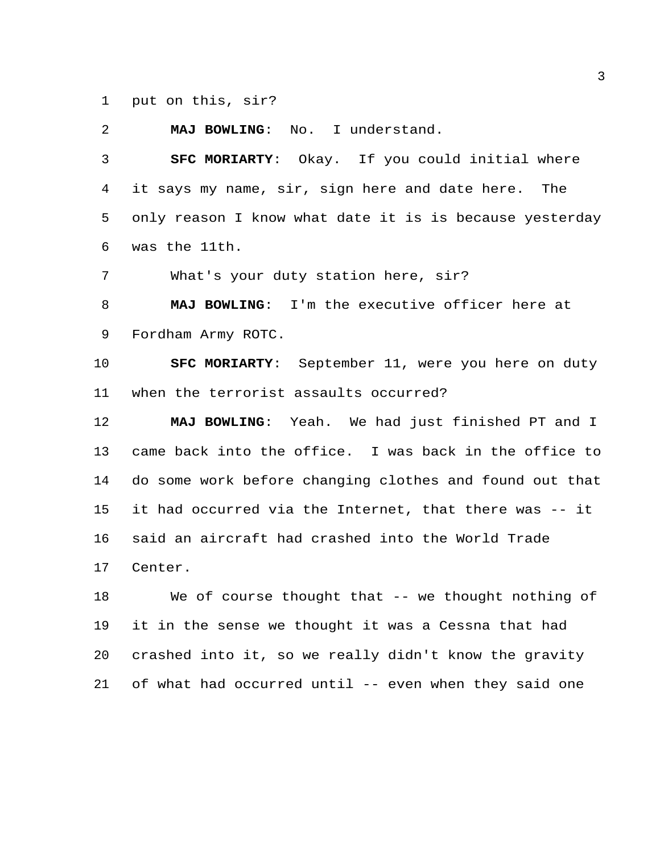put on this, sir?

**MAJ BOWLING**: No. I understand.

 **SFC MORIARTY**: Okay. If you could initial where it says my name, sir, sign here and date here. The only reason I know what date it is is because yesterday was the 11th.

What's your duty station here, sir?

 **MAJ BOWLING**: I'm the executive officer here at Fordham Army ROTC.

 **SFC MORIARTY**: September 11, were you here on duty when the terrorist assaults occurred?

 **MAJ BOWLING**: Yeah. We had just finished PT and I came back into the office. I was back in the office to do some work before changing clothes and found out that it had occurred via the Internet, that there was -- it said an aircraft had crashed into the World Trade Center.

 We of course thought that -- we thought nothing of it in the sense we thought it was a Cessna that had crashed into it, so we really didn't know the gravity of what had occurred until -- even when they said one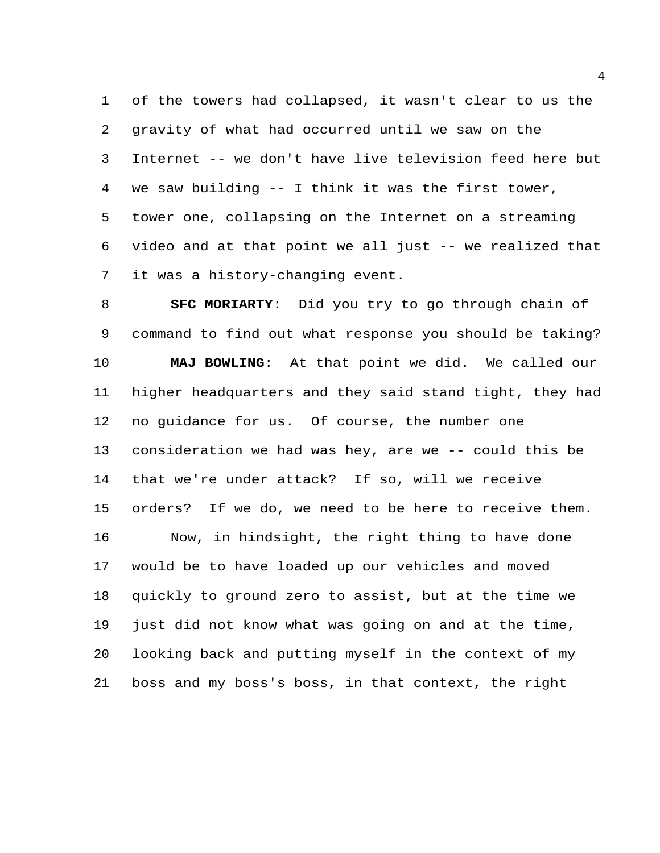of the towers had collapsed, it wasn't clear to us the gravity of what had occurred until we saw on the Internet -- we don't have live television feed here but we saw building -- I think it was the first tower, tower one, collapsing on the Internet on a streaming video and at that point we all just -- we realized that it was a history-changing event.

 **SFC MORIARTY**: Did you try to go through chain of command to find out what response you should be taking? **MAJ BOWLING**: At that point we did. We called our higher headquarters and they said stand tight, they had no guidance for us. Of course, the number one consideration we had was hey, are we -- could this be that we're under attack? If so, will we receive orders? If we do, we need to be here to receive them. Now, in hindsight, the right thing to have done would be to have loaded up our vehicles and moved quickly to ground zero to assist, but at the time we just did not know what was going on and at the time, looking back and putting myself in the context of my boss and my boss's boss, in that context, the right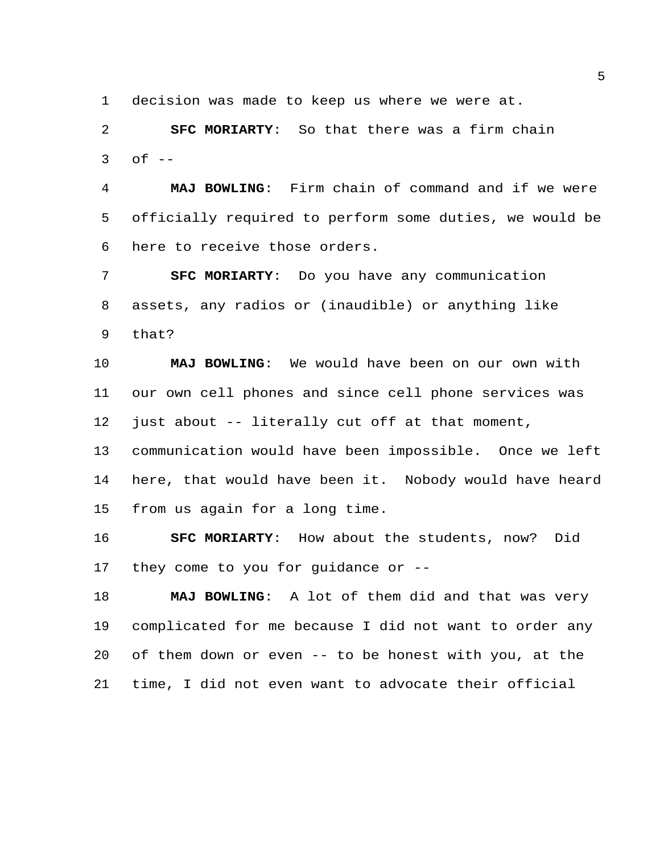decision was made to keep us where we were at.

 **SFC MORIARTY**: So that there was a firm chain of  $-$ 

 **MAJ BOWLING**: Firm chain of command and if we were officially required to perform some duties, we would be here to receive those orders.

 **SFC MORIARTY**: Do you have any communication assets, any radios or (inaudible) or anything like that?

 **MAJ BOWLING**: We would have been on our own with our own cell phones and since cell phone services was just about -- literally cut off at that moment,

 communication would have been impossible. Once we left here, that would have been it. Nobody would have heard from us again for a long time.

 **SFC MORIARTY**: How about the students, now? Did they come to you for guidance or --

 **MAJ BOWLING**: A lot of them did and that was very complicated for me because I did not want to order any of them down or even -- to be honest with you, at the time, I did not even want to advocate their official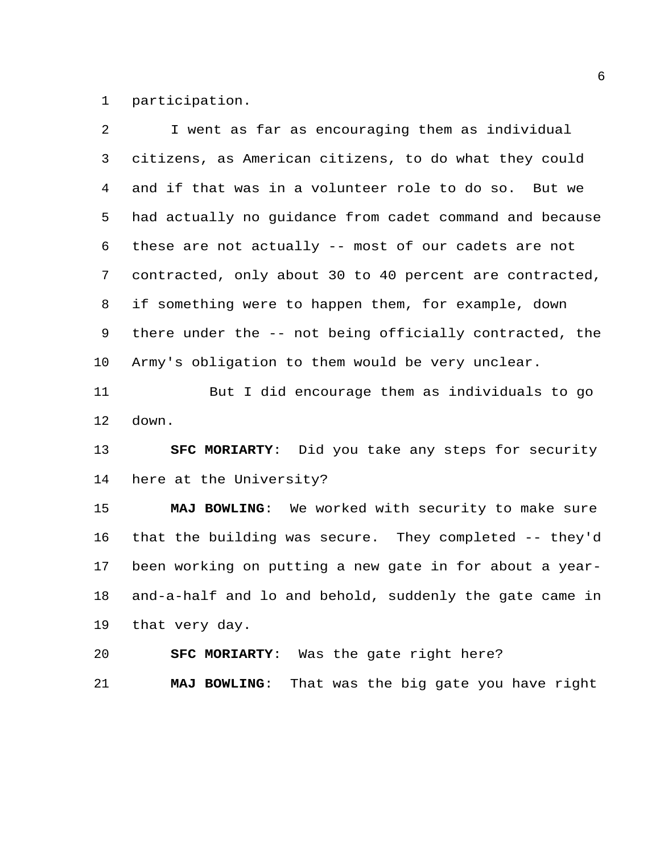participation.

| 2              | I went as far as encouraging them as individual         |
|----------------|---------------------------------------------------------|
| 3              | citizens, as American citizens, to do what they could   |
| $\overline{4}$ | and if that was in a volunteer role to do so. But we    |
| 5              | had actually no guidance from cadet command and because |
| 6              | these are not actually -- most of our cadets are not    |
| $7\phantom{.}$ | contracted, only about 30 to 40 percent are contracted, |
| 8              | if something were to happen them, for example, down     |
| 9              | there under the -- not being officially contracted, the |
| 10             | Army's obligation to them would be very unclear.        |
| 11             | But I did encourage them as individuals to go           |
| 12             | down.                                                   |
| 13             | SFC MORIARTY: Did you take any steps for security       |
| 14             | here at the University?                                 |
| 15             | MAJ BOWLING: We worked with security to make sure       |
| 16             | that the building was secure. They completed -- they'd  |
| 17             | been working on putting a new gate in for about a year- |
| 18             | and-a-half and lo and behold, suddenly the gate came in |
| 19             | that very day.                                          |

**SFC MORIARTY**: Was the gate right here?

**MAJ BOWLING**: That was the big gate you have right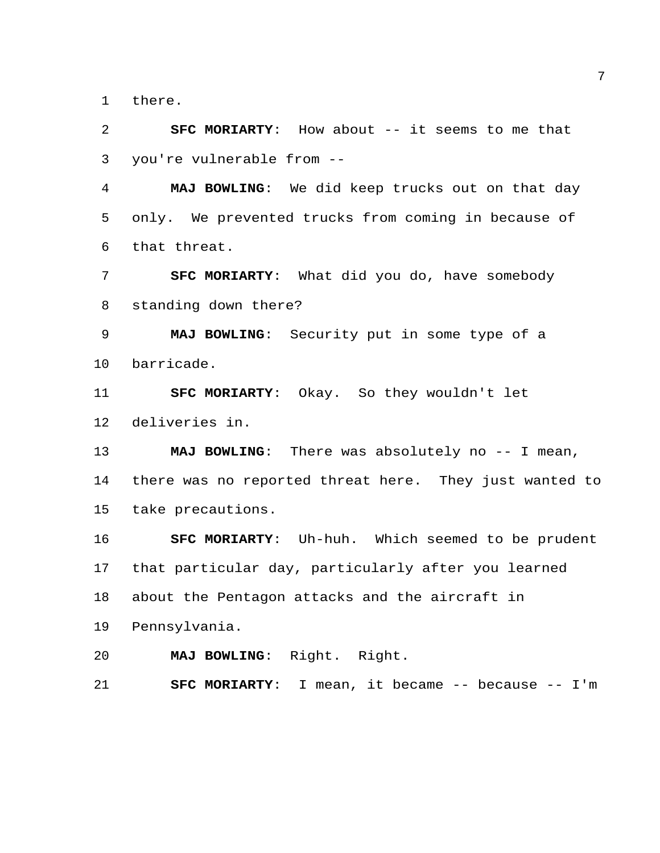there.

 **SFC MORIARTY**: How about -- it seems to me that you're vulnerable from --

 **MAJ BOWLING**: We did keep trucks out on that day only. We prevented trucks from coming in because of that threat.

 **SFC MORIARTY**: What did you do, have somebody standing down there?

 **MAJ BOWLING**: Security put in some type of a barricade.

 **SFC MORIARTY**: Okay. So they wouldn't let deliveries in.

**MAJ BOWLING**: There was absolutely no -- I mean, there was no reported threat here. They just wanted to take precautions.

 **SFC MORIARTY**: Uh-huh. Which seemed to be prudent that particular day, particularly after you learned about the Pentagon attacks and the aircraft in

Pennsylvania.

**MAJ BOWLING**: Right. Right.

**SFC MORIARTY**: I mean, it became -- because -- I'm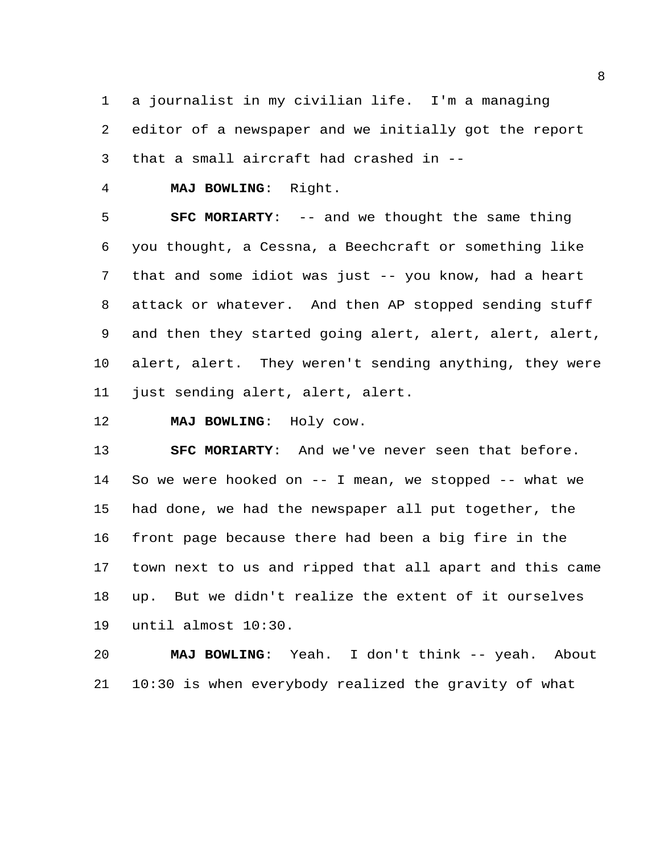a journalist in my civilian life. I'm a managing editor of a newspaper and we initially got the report

that a small aircraft had crashed in --

**MAJ BOWLING**: Right.

 **SFC MORIARTY**: -- and we thought the same thing you thought, a Cessna, a Beechcraft or something like that and some idiot was just -- you know, had a heart attack or whatever. And then AP stopped sending stuff and then they started going alert, alert, alert, alert, alert, alert. They weren't sending anything, they were just sending alert, alert, alert.

**MAJ BOWLING**: Holy cow.

 **SFC MORIARTY**: And we've never seen that before. So we were hooked on -- I mean, we stopped -- what we had done, we had the newspaper all put together, the front page because there had been a big fire in the town next to us and ripped that all apart and this came up. But we didn't realize the extent of it ourselves until almost 10:30.

 **MAJ BOWLING**: Yeah. I don't think -- yeah. About 10:30 is when everybody realized the gravity of what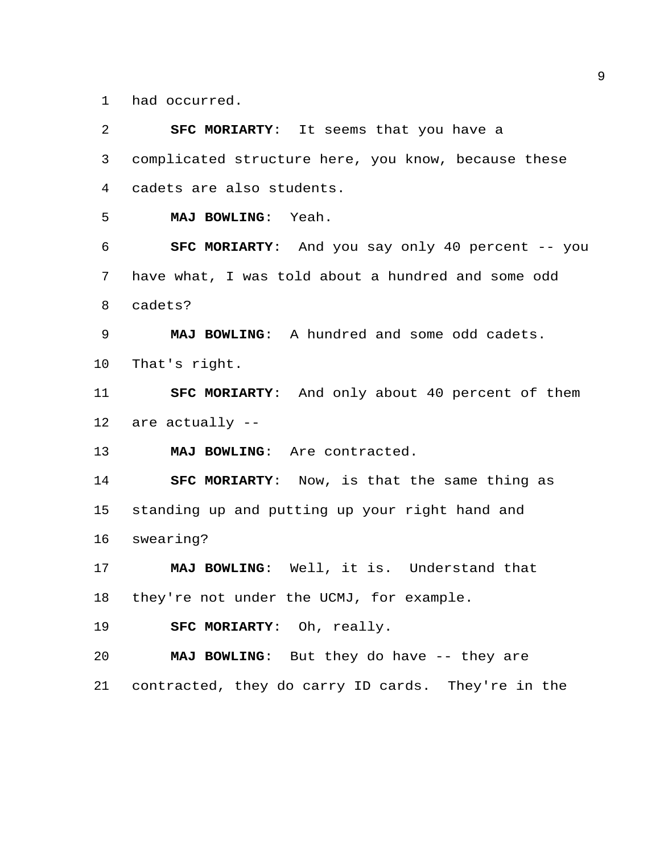had occurred.

| 2               | <b>SFC MORIARTY:</b> It seems that you have a          |
|-----------------|--------------------------------------------------------|
| $\mathfrak{Z}$  | complicated structure here, you know, because these    |
| 4               | cadets are also students.                              |
| 5               | MAJ BOWLING:<br>Yeah.                                  |
| 6               | SFC MORIARTY: And you say only 40 percent -- you       |
| 7               | have what, I was told about a hundred and some odd     |
| 8               | cadets?                                                |
| 9               | MAJ BOWLING: A hundred and some odd cadets.            |
| 10              | That's right.                                          |
| 11              | <b>SFC MORIARTY:</b> And only about 40 percent of them |
| 12              | are actually --                                        |
| 13              | MAJ BOWLING: Are contracted.                           |
| 14              | <b>SFC MORIARTY:</b> Now, is that the same thing as    |
| 15 <sub>1</sub> | standing up and putting up your right hand and         |
| 16              | swearing?                                              |
| 17              | MAJ BOWLING: Well, it is. Understand that              |
| 18              | they're not under the UCMJ, for example.               |
| 19              | SFC MORIARTY: Oh, really.                              |
| 20              | MAJ BOWLING: But they do have -- they are              |
| 21              | contracted, they do carry ID cards. They're in the     |
|                 |                                                        |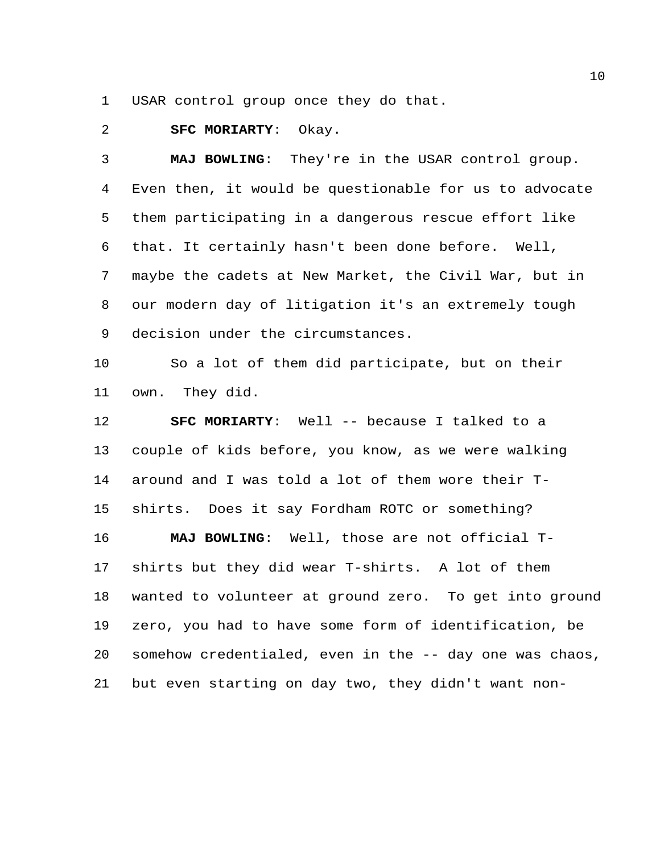USAR control group once they do that.

## **SFC MORIARTY**: Okay.

 **MAJ BOWLING**: They're in the USAR control group. Even then, it would be questionable for us to advocate them participating in a dangerous rescue effort like that. It certainly hasn't been done before. Well, maybe the cadets at New Market, the Civil War, but in our modern day of litigation it's an extremely tough decision under the circumstances.

 So a lot of them did participate, but on their own. They did.

 **SFC MORIARTY**: Well -- because I talked to a couple of kids before, you know, as we were walking around and I was told a lot of them wore their T- shirts. Does it say Fordham ROTC or something? **MAJ BOWLING**: Well, those are not official T- shirts but they did wear T-shirts. A lot of them wanted to volunteer at ground zero. To get into ground zero, you had to have some form of identification, be somehow credentialed, even in the -- day one was chaos, but even starting on day two, they didn't want non-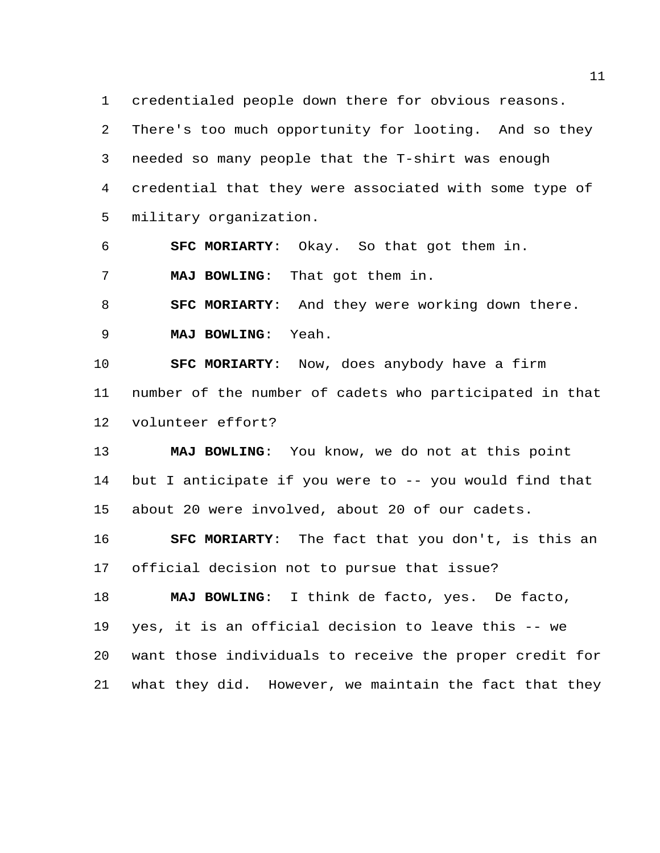credentialed people down there for obvious reasons.

 There's too much opportunity for looting. And so they needed so many people that the T-shirt was enough credential that they were associated with some type of military organization.

 **SFC MORIARTY**: Okay. So that got them in. **MAJ BOWLING**: That got them in.

 **SFC MORIARTY**: And they were working down there. **MAJ BOWLING**: Yeah.

 **SFC MORIARTY**: Now, does anybody have a firm number of the number of cadets who participated in that volunteer effort?

 **MAJ BOWLING**: You know, we do not at this point but I anticipate if you were to -- you would find that about 20 were involved, about 20 of our cadets.

 **SFC MORIARTY**: The fact that you don't, is this an official decision not to pursue that issue?

 **MAJ BOWLING**: I think de facto, yes. De facto, yes, it is an official decision to leave this -- we want those individuals to receive the proper credit for what they did. However, we maintain the fact that they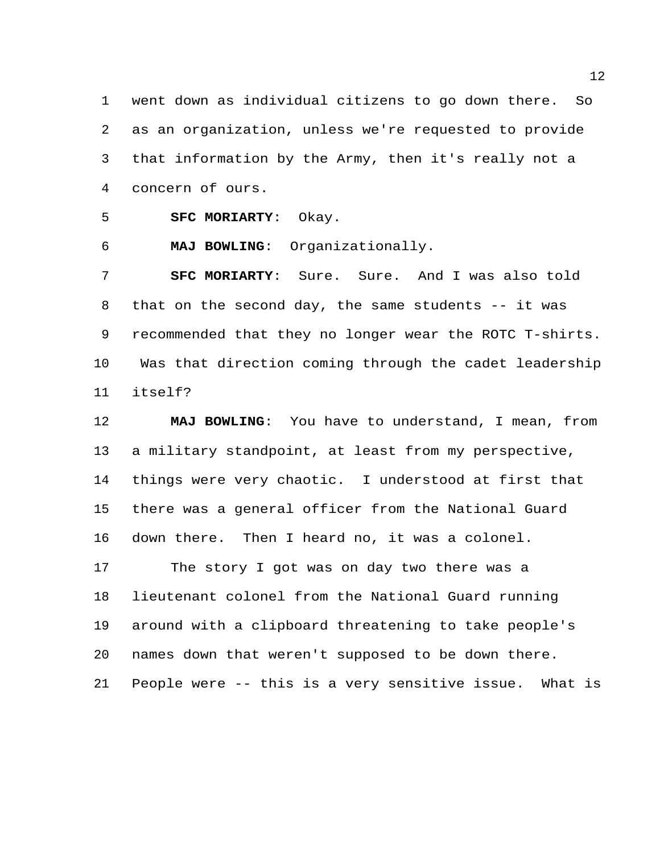went down as individual citizens to go down there. So as an organization, unless we're requested to provide that information by the Army, then it's really not a concern of ours.

**SFC MORIARTY**: Okay.

**MAJ BOWLING**: Organizationally.

 **SFC MORIARTY**: Sure. Sure. And I was also told 8 that on the second day, the same students -- it was recommended that they no longer wear the ROTC T-shirts. Was that direction coming through the cadet leadership itself?

 **MAJ BOWLING**: You have to understand, I mean, from a military standpoint, at least from my perspective, things were very chaotic. I understood at first that there was a general officer from the National Guard down there. Then I heard no, it was a colonel. The story I got was on day two there was a lieutenant colonel from the National Guard running around with a clipboard threatening to take people's names down that weren't supposed to be down there. People were -- this is a very sensitive issue. What is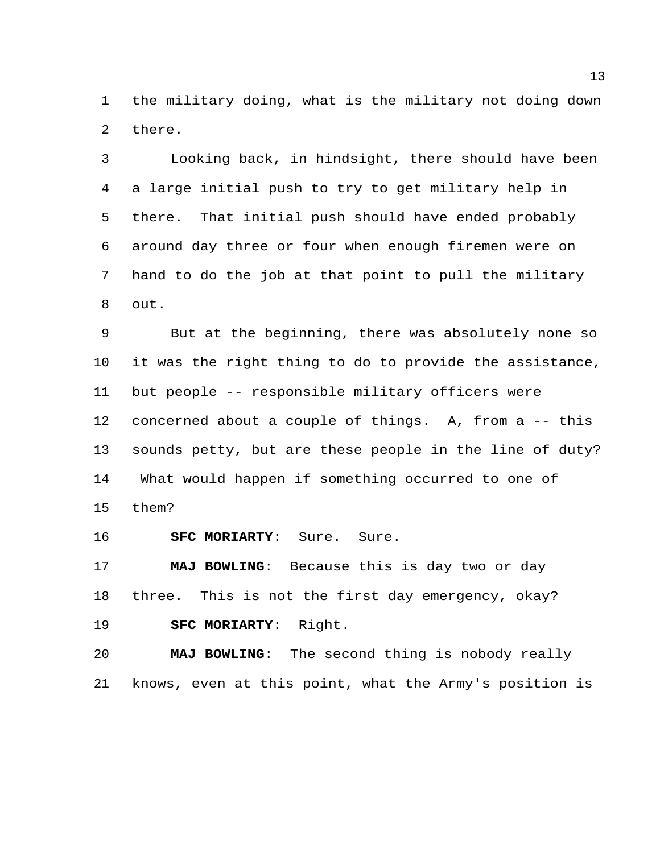the military doing, what is the military not doing down there.

 Looking back, in hindsight, there should have been a large initial push to try to get military help in there. That initial push should have ended probably around day three or four when enough firemen were on hand to do the job at that point to pull the military out.

 But at the beginning, there was absolutely none so it was the right thing to do to provide the assistance, but people -- responsible military officers were concerned about a couple of things. A, from a -- this sounds petty, but are these people in the line of duty? What would happen if something occurred to one of them?

**SFC MORIARTY**: Sure. Sure.

 **MAJ BOWLING**: Because this is day two or day three. This is not the first day emergency, okay? **SFC MORIARTY**: Right.

 **MAJ BOWLING**: The second thing is nobody really knows, even at this point, what the Army's position is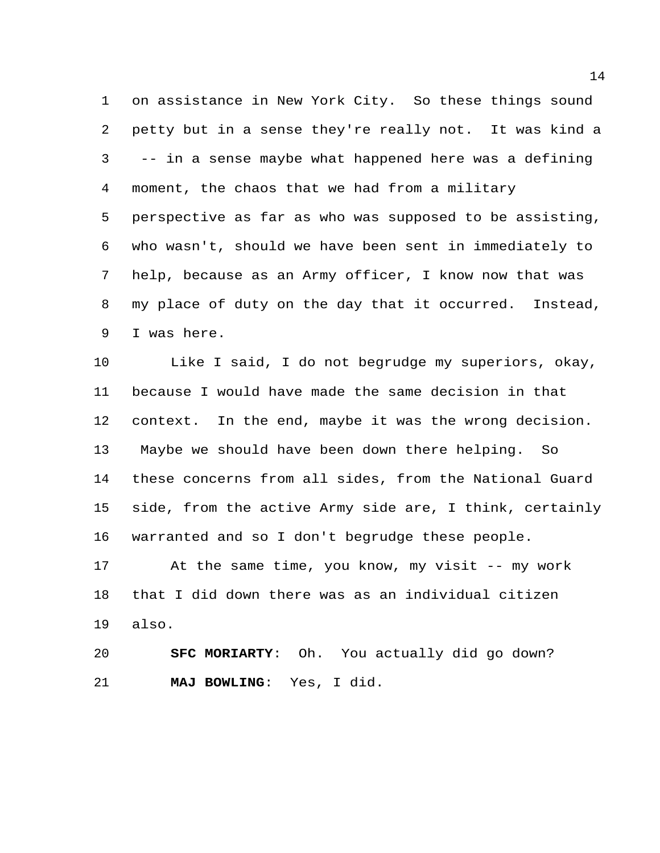on assistance in New York City. So these things sound petty but in a sense they're really not. It was kind a -- in a sense maybe what happened here was a defining moment, the chaos that we had from a military perspective as far as who was supposed to be assisting, who wasn't, should we have been sent in immediately to help, because as an Army officer, I know now that was my place of duty on the day that it occurred. Instead, I was here.

 Like I said, I do not begrudge my superiors, okay, because I would have made the same decision in that context. In the end, maybe it was the wrong decision. Maybe we should have been down there helping. So these concerns from all sides, from the National Guard side, from the active Army side are, I think, certainly warranted and so I don't begrudge these people.

 At the same time, you know, my visit -- my work that I did down there was as an individual citizen also.

 **SFC MORIARTY**: Oh. You actually did go down? **MAJ BOWLING**: Yes, I did.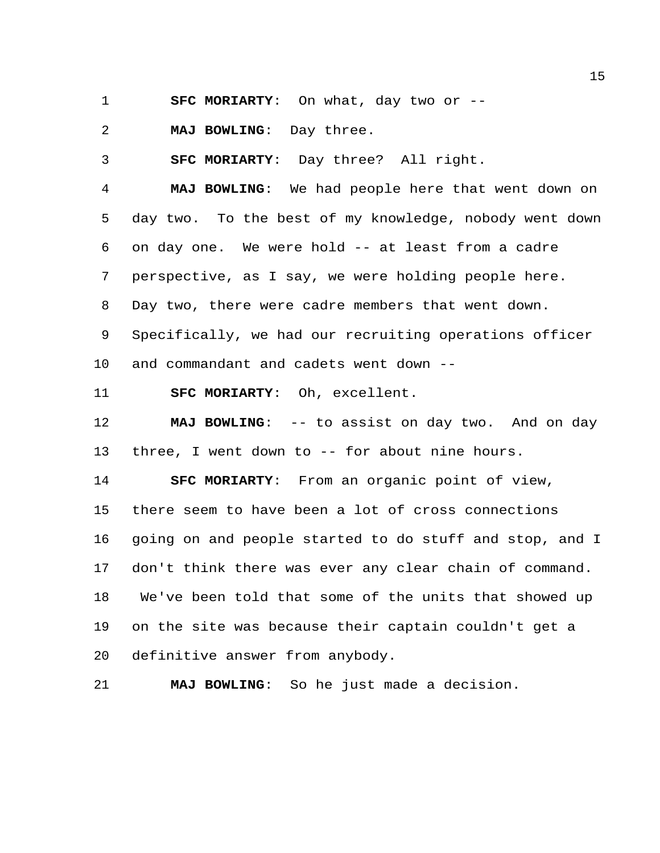**SFC MORIARTY**: On what, day two or --

**MAJ BOWLING**: Day three.

**SFC MORIARTY**: Day three? All right.

 **MAJ BOWLING**: We had people here that went down on day two. To the best of my knowledge, nobody went down on day one. We were hold -- at least from a cadre perspective, as I say, we were holding people here. Day two, there were cadre members that went down. Specifically, we had our recruiting operations officer

and commandant and cadets went down --

**SFC MORIARTY**: Oh, excellent.

**MAJ BOWLING:** -- to assist on day two. And on day three, I went down to -- for about nine hours.

 **SFC MORIARTY**: From an organic point of view, there seem to have been a lot of cross connections going on and people started to do stuff and stop, and I don't think there was ever any clear chain of command. We've been told that some of the units that showed up on the site was because their captain couldn't get a definitive answer from anybody.

**MAJ BOWLING**: So he just made a decision.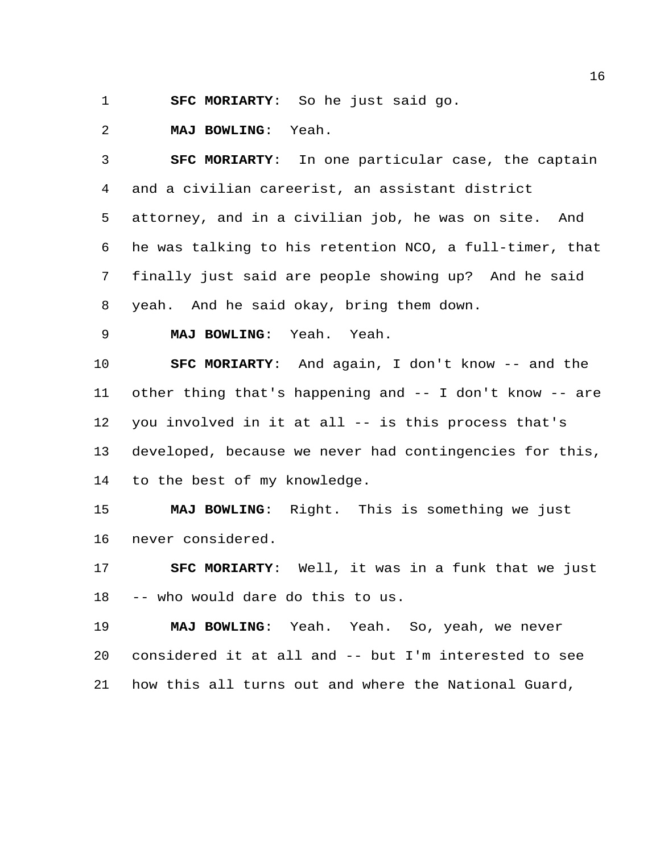**SFC MORIARTY**: So he just said go.

**MAJ BOWLING**: Yeah.

 **SFC MORIARTY**: In one particular case, the captain and a civilian careerist, an assistant district attorney, and in a civilian job, he was on site. And he was talking to his retention NCO, a full-timer, that finally just said are people showing up? And he said yeah. And he said okay, bring them down.

**MAJ BOWLING**: Yeah. Yeah.

 **SFC MORIARTY**: And again, I don't know -- and the other thing that's happening and -- I don't know -- are you involved in it at all -- is this process that's developed, because we never had contingencies for this, to the best of my knowledge.

 **MAJ BOWLING**: Right. This is something we just never considered.

 **SFC MORIARTY**: Well, it was in a funk that we just -- who would dare do this to us.

 **MAJ BOWLING**: Yeah. Yeah. So, yeah, we never considered it at all and -- but I'm interested to see how this all turns out and where the National Guard,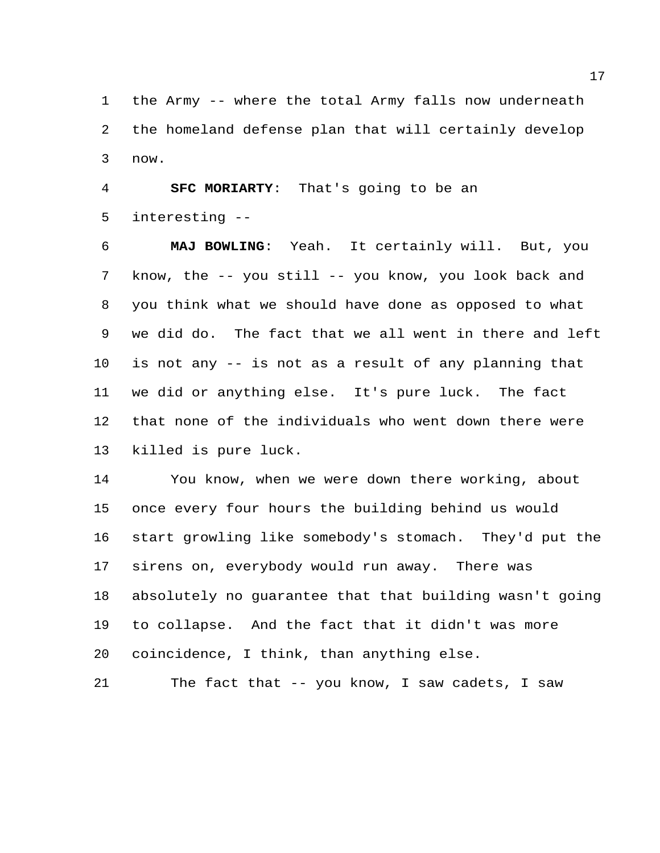the Army -- where the total Army falls now underneath the homeland defense plan that will certainly develop now.

 **SFC MORIARTY**: That's going to be an interesting --

 **MAJ BOWLING**: Yeah. It certainly will. But, you know, the -- you still -- you know, you look back and you think what we should have done as opposed to what we did do. The fact that we all went in there and left is not any -- is not as a result of any planning that we did or anything else. It's pure luck. The fact that none of the individuals who went down there were killed is pure luck.

 You know, when we were down there working, about once every four hours the building behind us would start growling like somebody's stomach. They'd put the sirens on, everybody would run away. There was absolutely no guarantee that that building wasn't going to collapse. And the fact that it didn't was more coincidence, I think, than anything else.

```
21 The fact that -- you know, I saw cadets, I saw
```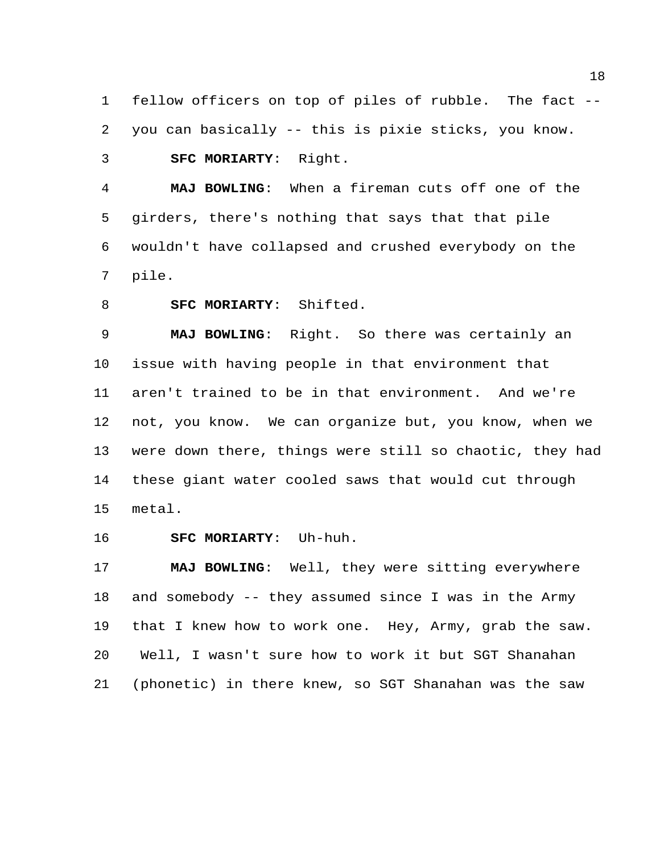fellow officers on top of piles of rubble. The fact -- you can basically -- this is pixie sticks, you know. **SFC MORIARTY**: Right.

 **MAJ BOWLING**: When a fireman cuts off one of the girders, there's nothing that says that that pile wouldn't have collapsed and crushed everybody on the pile.

**SFC MORIARTY**: Shifted.

 **MAJ BOWLING**: Right. So there was certainly an issue with having people in that environment that aren't trained to be in that environment. And we're not, you know. We can organize but, you know, when we were down there, things were still so chaotic, they had these giant water cooled saws that would cut through metal.

**SFC MORIARTY**: Uh-huh.

 **MAJ BOWLING**: Well, they were sitting everywhere and somebody -- they assumed since I was in the Army that I knew how to work one. Hey, Army, grab the saw. Well, I wasn't sure how to work it but SGT Shanahan (phonetic) in there knew, so SGT Shanahan was the saw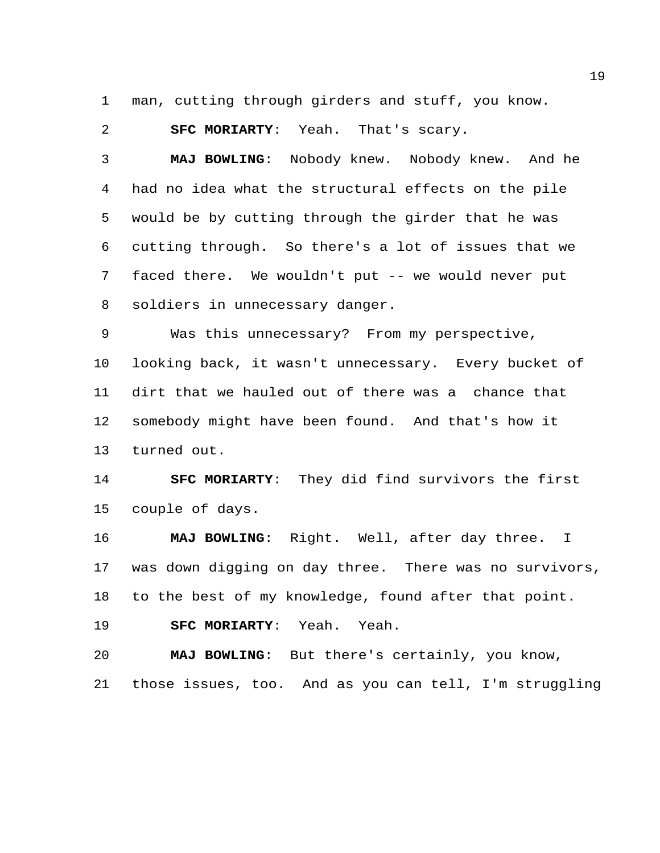man, cutting through girders and stuff, you know.

**SFC MORIARTY**: Yeah. That's scary.

 **MAJ BOWLING**: Nobody knew. Nobody knew. And he had no idea what the structural effects on the pile would be by cutting through the girder that he was cutting through. So there's a lot of issues that we faced there. We wouldn't put -- we would never put soldiers in unnecessary danger.

 Was this unnecessary? From my perspective, looking back, it wasn't unnecessary. Every bucket of dirt that we hauled out of there was a chance that somebody might have been found. And that's how it turned out.

 **SFC MORIARTY**: They did find survivors the first couple of days.

 **MAJ BOWLING**: Right. Well, after day three. I was down digging on day three. There was no survivors, to the best of my knowledge, found after that point.

**SFC MORIARTY**: Yeah. Yeah.

 **MAJ BOWLING**: But there's certainly, you know, those issues, too. And as you can tell, I'm struggling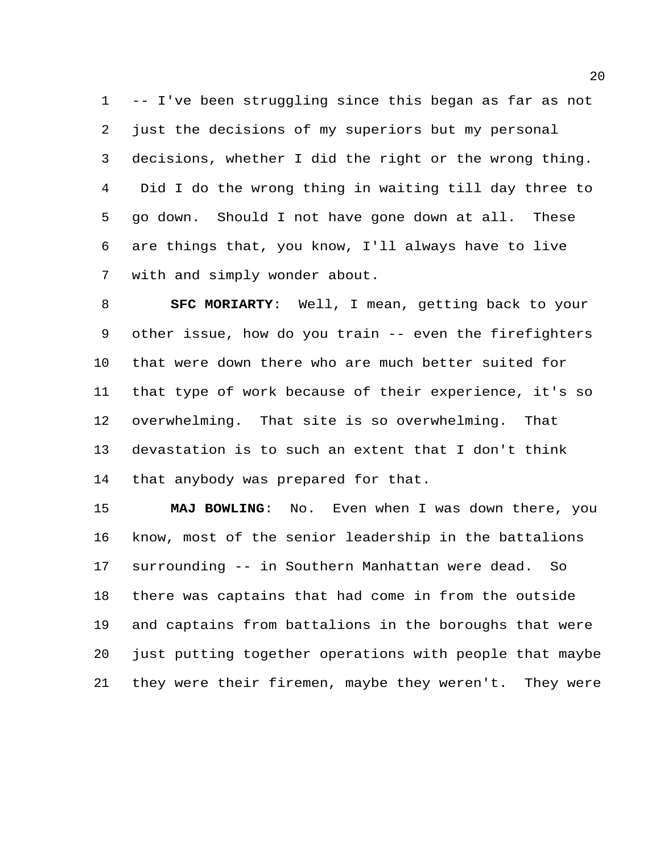-- I've been struggling since this began as far as not just the decisions of my superiors but my personal decisions, whether I did the right or the wrong thing. Did I do the wrong thing in waiting till day three to go down. Should I not have gone down at all. These are things that, you know, I'll always have to live with and simply wonder about.

 **SFC MORIARTY**: Well, I mean, getting back to your other issue, how do you train -- even the firefighters that were down there who are much better suited for that type of work because of their experience, it's so overwhelming. That site is so overwhelming. That devastation is to such an extent that I don't think that anybody was prepared for that.

 **MAJ BOWLING**: No. Even when I was down there, you know, most of the senior leadership in the battalions surrounding -- in Southern Manhattan were dead. So there was captains that had come in from the outside and captains from battalions in the boroughs that were just putting together operations with people that maybe they were their firemen, maybe they weren't. They were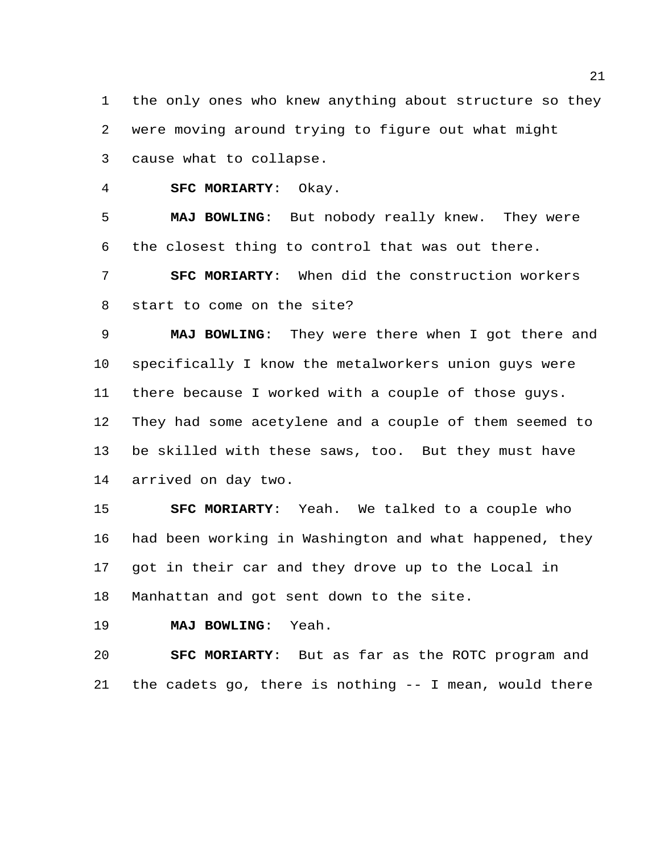the only ones who knew anything about structure so they were moving around trying to figure out what might cause what to collapse.

**SFC MORIARTY**: Okay.

 **MAJ BOWLING**: But nobody really knew. They were the closest thing to control that was out there.

 **SFC MORIARTY**: When did the construction workers start to come on the site?

 **MAJ BOWLING**: They were there when I got there and specifically I know the metalworkers union guys were there because I worked with a couple of those guys. They had some acetylene and a couple of them seemed to be skilled with these saws, too. But they must have arrived on day two.

 **SFC MORIARTY**: Yeah. We talked to a couple who had been working in Washington and what happened, they got in their car and they drove up to the Local in Manhattan and got sent down to the site.

**MAJ BOWLING**: Yeah.

 **SFC MORIARTY**: But as far as the ROTC program and the cadets go, there is nothing -- I mean, would there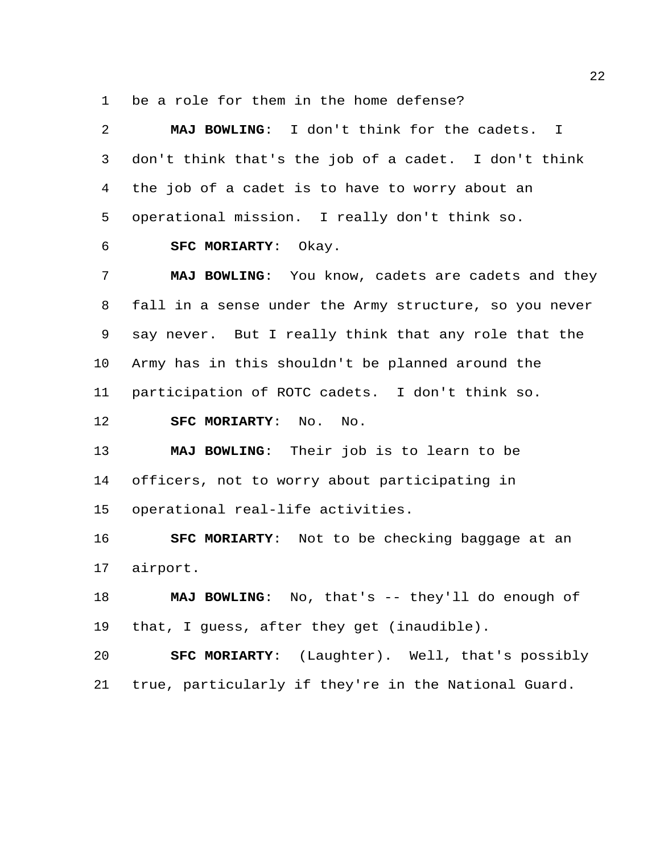be a role for them in the home defense?

| 2       | MAJ BOWLING: I don't think for the cadets. I           |
|---------|--------------------------------------------------------|
| 3       | don't think that's the job of a cadet. I don't think   |
| 4       | the job of a cadet is to have to worry about an        |
| 5       | operational mission. I really don't think so.          |
| 6       | SFC MORIARTY: Okay.                                    |
| 7       | MAJ BOWLING: You know, cadets are cadets and they      |
| 8       | fall in a sense under the Army structure, so you never |
| 9       | say never. But I really think that any role that the   |
| $10 \,$ | Army has in this shouldn't be planned around the       |
| 11      | participation of ROTC cadets. I don't think so.        |
|         |                                                        |
| 12      | SFC MORIARTY: No.<br>No.                               |
| 13      | MAJ BOWLING: Their job is to learn to be               |
| 14      | officers, not to worry about participating in          |
| 15      | operational real-life activities.                      |
| 16      | <b>SFC MORIARTY:</b> Not to be checking baggage at an  |
| 17      | airport.                                               |
| 18      | MAJ BOWLING: No, that's -- they'll do enough of        |
| 19      | that, I guess, after they get (inaudible).             |
| 20      | <b>SFC MORIARTY:</b> (Laughter). Well, that's possibly |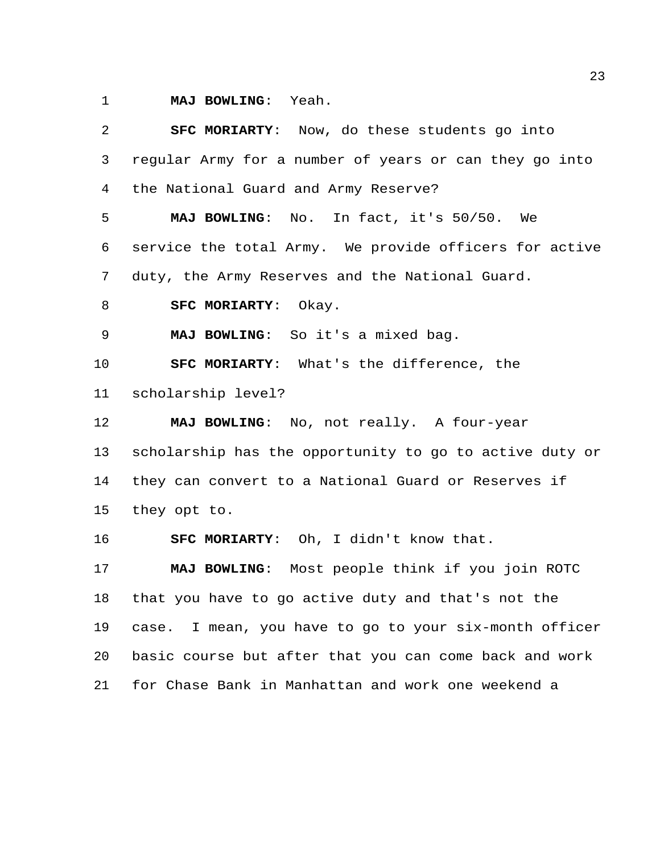**MAJ BOWLING**: Yeah.

 **SFC MORIARTY**: Now, do these students go into regular Army for a number of years or can they go into the National Guard and Army Reserve? **MAJ BOWLING**: No. In fact, it's 50/50. We service the total Army. We provide officers for active duty, the Army Reserves and the National Guard. **SFC MORIARTY**: Okay. **MAJ BOWLING**: So it's a mixed bag. **SFC MORIARTY**: What's the difference, the scholarship level? **MAJ BOWLING**: No, not really. A four-year scholarship has the opportunity to go to active duty or they can convert to a National Guard or Reserves if they opt to. **SFC MORIARTY**: Oh, I didn't know that. **MAJ BOWLING**: Most people think if you join ROTC that you have to go active duty and that's not the case. I mean, you have to go to your six-month officer basic course but after that you can come back and work for Chase Bank in Manhattan and work one weekend a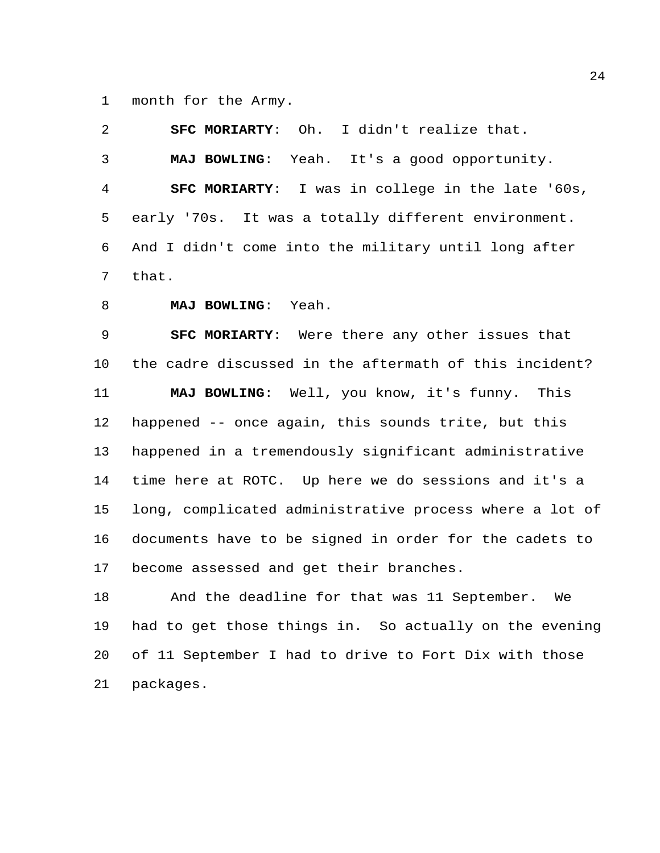month for the Army.

 **SFC MORIARTY**: Oh. I didn't realize that. **MAJ BOWLING**: Yeah. It's a good opportunity. **SFC MORIARTY**: I was in college in the late '60s, early '70s. It was a totally different environment. And I didn't come into the military until long after that.

**MAJ BOWLING**: Yeah.

 **SFC MORIARTY**: Were there any other issues that the cadre discussed in the aftermath of this incident? **MAJ BOWLING**: Well, you know, it's funny. This happened -- once again, this sounds trite, but this happened in a tremendously significant administrative time here at ROTC. Up here we do sessions and it's a long, complicated administrative process where a lot of documents have to be signed in order for the cadets to become assessed and get their branches.

 And the deadline for that was 11 September. We had to get those things in. So actually on the evening of 11 September I had to drive to Fort Dix with those packages.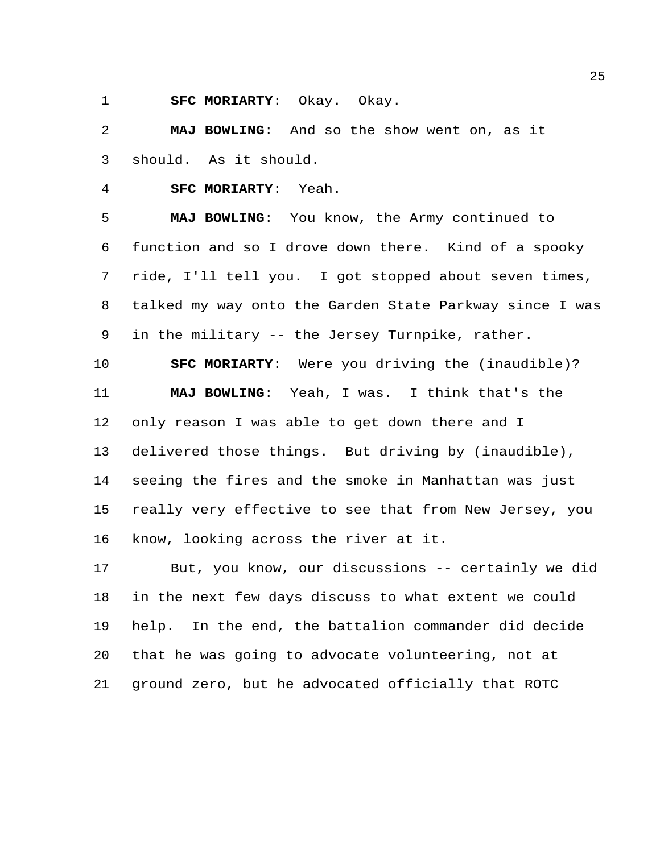**SFC MORIARTY**: Okay. Okay.

 **MAJ BOWLING**: And so the show went on, as it should. As it should.

**SFC MORIARTY**: Yeah.

 **MAJ BOWLING**: You know, the Army continued to function and so I drove down there. Kind of a spooky ride, I'll tell you. I got stopped about seven times, talked my way onto the Garden State Parkway since I was in the military -- the Jersey Turnpike, rather.

 **SFC MORIARTY**: Were you driving the (inaudible)? **MAJ BOWLING**: Yeah, I was. I think that's the only reason I was able to get down there and I delivered those things. But driving by (inaudible), seeing the fires and the smoke in Manhattan was just really very effective to see that from New Jersey, you know, looking across the river at it.

 But, you know, our discussions -- certainly we did in the next few days discuss to what extent we could help. In the end, the battalion commander did decide that he was going to advocate volunteering, not at ground zero, but he advocated officially that ROTC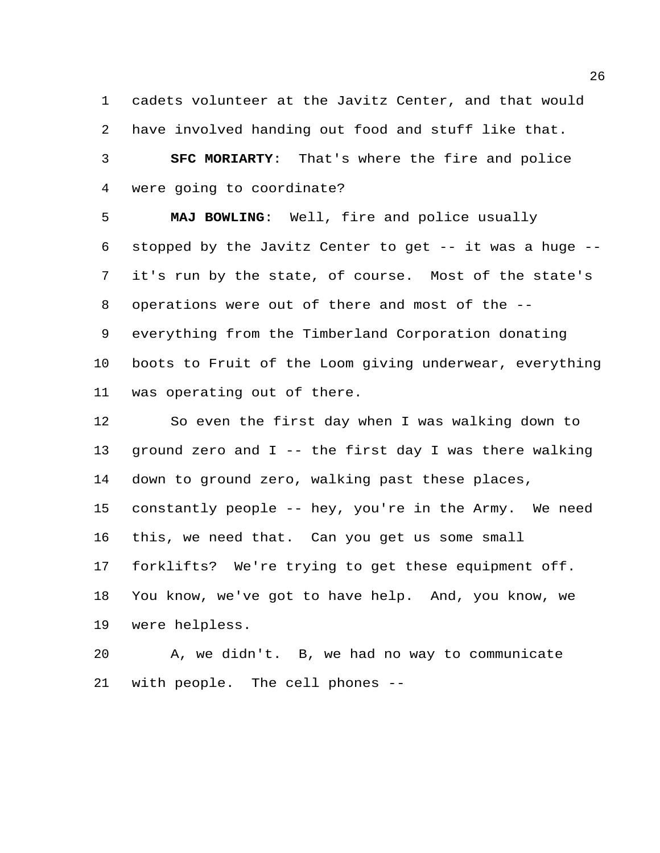cadets volunteer at the Javitz Center, and that would have involved handing out food and stuff like that.

 **SFC MORIARTY**: That's where the fire and police were going to coordinate?

 **MAJ BOWLING**: Well, fire and police usually stopped by the Javitz Center to get -- it was a huge -- it's run by the state, of course. Most of the state's operations were out of there and most of the -- everything from the Timberland Corporation donating boots to Fruit of the Loom giving underwear, everything was operating out of there.

 So even the first day when I was walking down to ground zero and I -- the first day I was there walking down to ground zero, walking past these places, constantly people -- hey, you're in the Army. We need this, we need that. Can you get us some small forklifts? We're trying to get these equipment off. You know, we've got to have help. And, you know, we were helpless.

 A, we didn't. B, we had no way to communicate with people. The cell phones --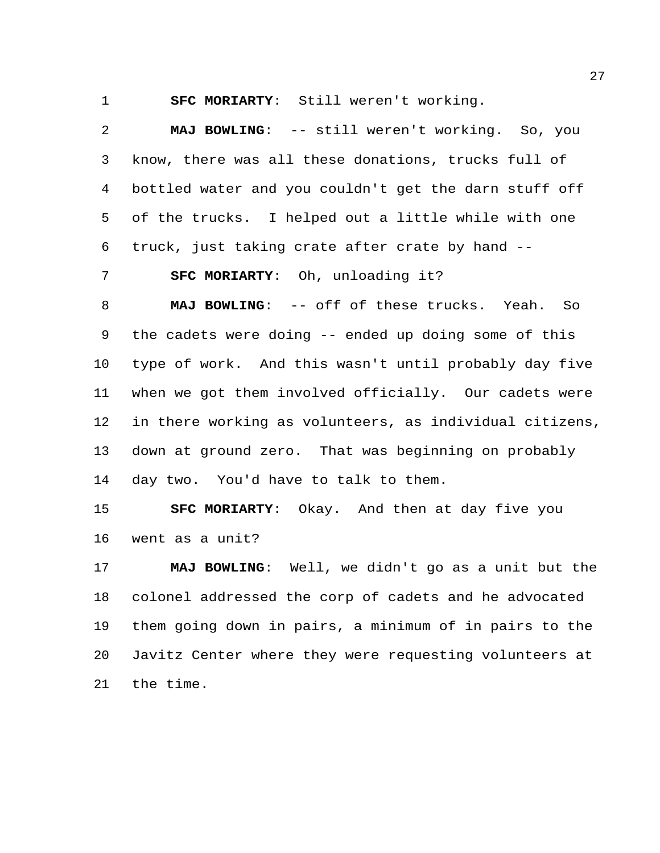**SFC MORIARTY**: Still weren't working.

 **MAJ BOWLING**: -- still weren't working. So, you know, there was all these donations, trucks full of bottled water and you couldn't get the darn stuff off of the trucks. I helped out a little while with one truck, just taking crate after crate by hand --

**SFC MORIARTY**: Oh, unloading it?

 **MAJ BOWLING**: -- off of these trucks. Yeah. So the cadets were doing -- ended up doing some of this type of work. And this wasn't until probably day five when we got them involved officially. Our cadets were in there working as volunteers, as individual citizens, down at ground zero. That was beginning on probably day two. You'd have to talk to them.

 **SFC MORIARTY**: Okay. And then at day five you went as a unit?

 **MAJ BOWLING**: Well, we didn't go as a unit but the colonel addressed the corp of cadets and he advocated them going down in pairs, a minimum of in pairs to the Javitz Center where they were requesting volunteers at the time.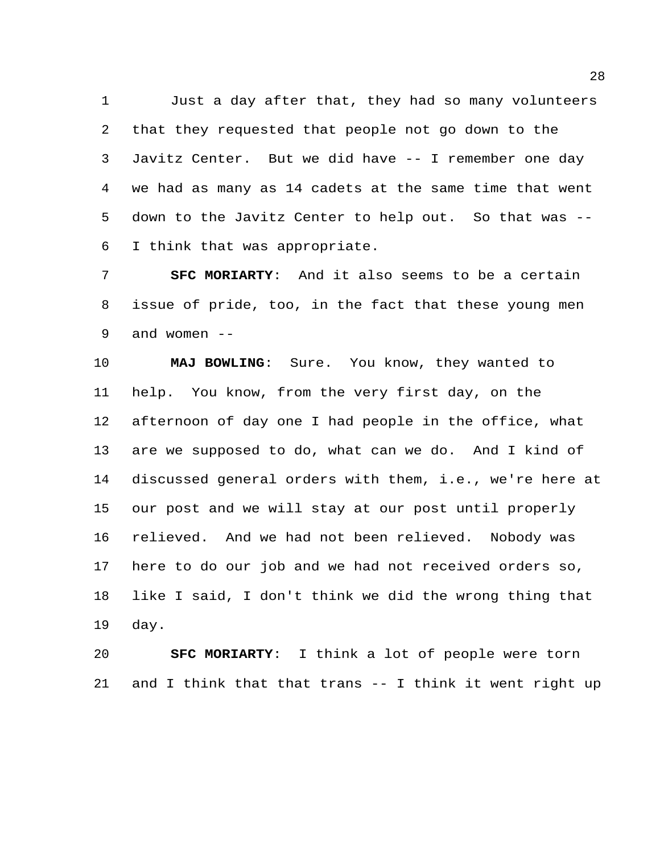Just a day after that, they had so many volunteers that they requested that people not go down to the Javitz Center. But we did have -- I remember one day we had as many as 14 cadets at the same time that went down to the Javitz Center to help out. So that was -- I think that was appropriate.

 **SFC MORIARTY**: And it also seems to be a certain issue of pride, too, in the fact that these young men and women --

 **MAJ BOWLING**: Sure. You know, they wanted to help. You know, from the very first day, on the afternoon of day one I had people in the office, what are we supposed to do, what can we do. And I kind of discussed general orders with them, i.e., we're here at our post and we will stay at our post until properly relieved. And we had not been relieved. Nobody was here to do our job and we had not received orders so, like I said, I don't think we did the wrong thing that day.

 **SFC MORIARTY**: I think a lot of people were torn and I think that that trans -- I think it went right up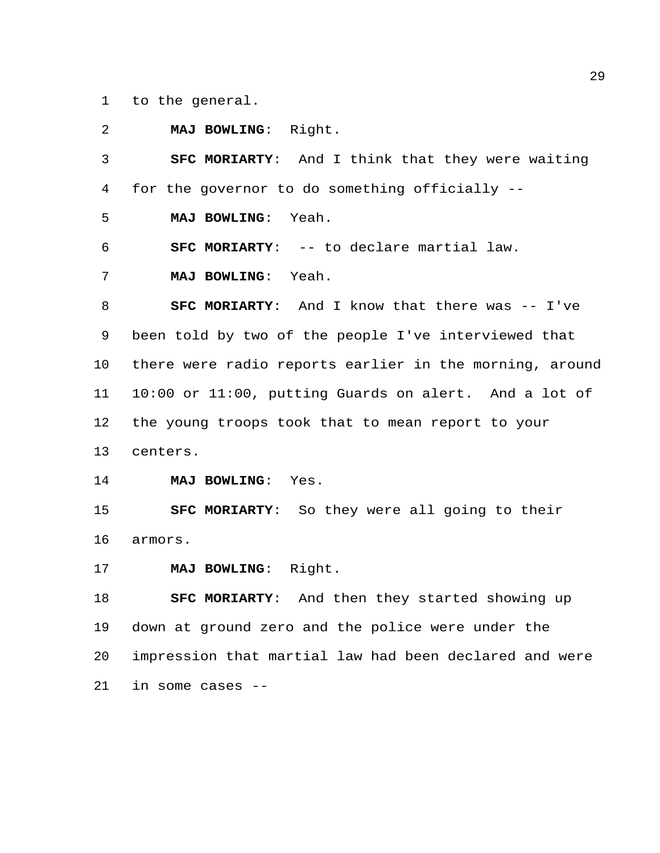to the general.

 **MAJ BOWLING**: Right. **SFC MORIARTY**: And I think that they were waiting for the governor to do something officially -- **MAJ BOWLING**: Yeah. **SFC MORIARTY**: -- to declare martial law. **MAJ BOWLING**: Yeah. **SFC MORIARTY:** And I know that there was -- I've been told by two of the people I've interviewed that there were radio reports earlier in the morning, around 10:00 or 11:00, putting Guards on alert. And a lot of the young troops took that to mean report to your centers. **MAJ BOWLING**: Yes. **SFC MORIARTY**: So they were all going to their armors. **MAJ BOWLING**: Right.

 **SFC MORIARTY**: And then they started showing up down at ground zero and the police were under the impression that martial law had been declared and were in some cases --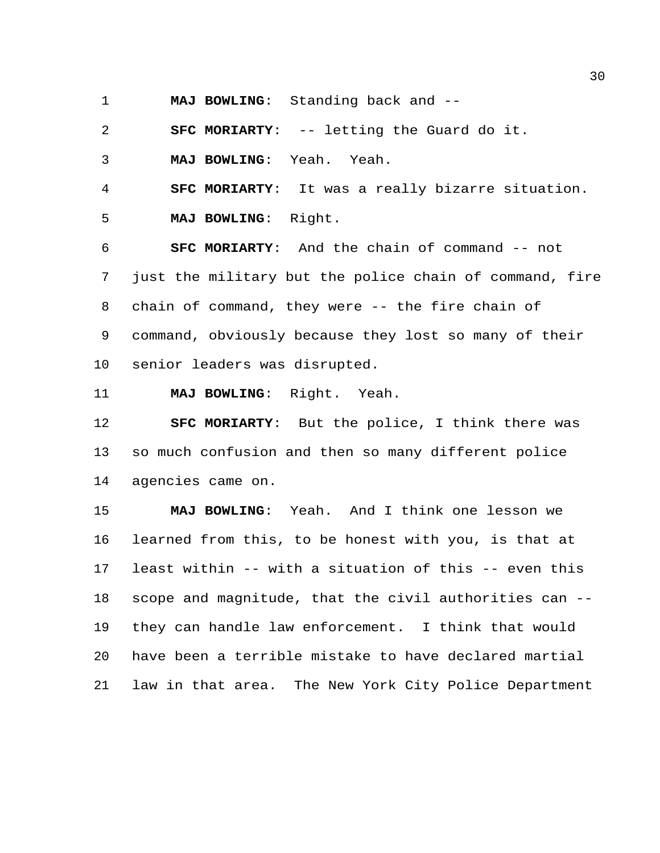**MAJ BOWLING**: Standing back and --

**SFC MORIARTY**: -- letting the Guard do it.

**MAJ BOWLING**: Yeah. Yeah.

**SFC MORIARTY**: It was a really bizarre situation.

**MAJ BOWLING**: Right.

 **SFC MORIARTY**: And the chain of command -- not just the military but the police chain of command, fire chain of command, they were -- the fire chain of command, obviously because they lost so many of their senior leaders was disrupted.

**MAJ BOWLING**: Right. Yeah.

 **SFC MORIARTY**: But the police, I think there was so much confusion and then so many different police agencies came on.

 **MAJ BOWLING**: Yeah. And I think one lesson we learned from this, to be honest with you, is that at least within -- with a situation of this -- even this scope and magnitude, that the civil authorities can -- they can handle law enforcement. I think that would have been a terrible mistake to have declared martial law in that area. The New York City Police Department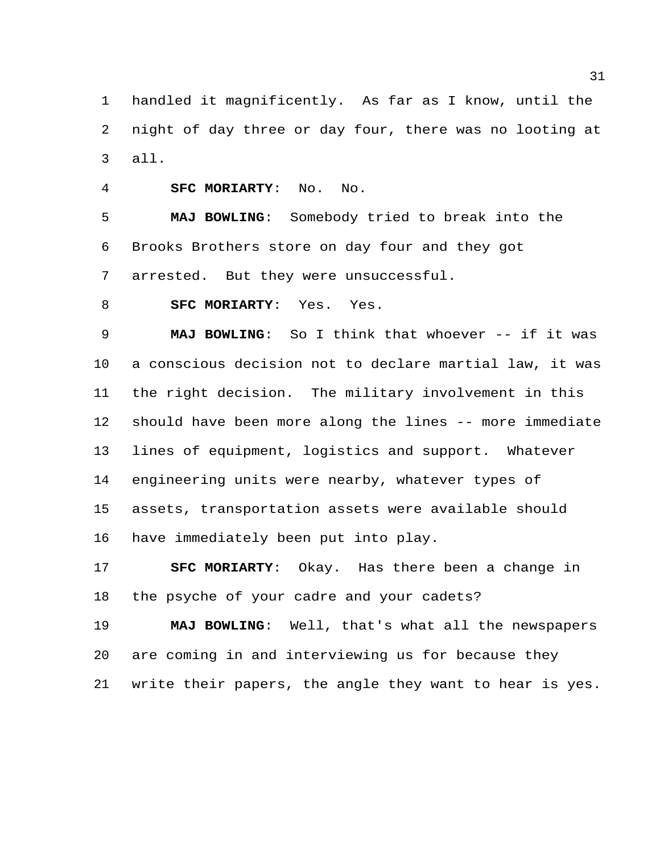handled it magnificently. As far as I know, until the night of day three or day four, there was no looting at all.

**SFC MORIARTY**: No. No.

 **MAJ BOWLING**: Somebody tried to break into the Brooks Brothers store on day four and they got arrested. But they were unsuccessful.

**SFC MORIARTY**: Yes. Yes.

 **MAJ BOWLING**: So I think that whoever -- if it was a conscious decision not to declare martial law, it was the right decision. The military involvement in this should have been more along the lines -- more immediate lines of equipment, logistics and support. Whatever engineering units were nearby, whatever types of assets, transportation assets were available should have immediately been put into play.

 **SFC MORIARTY**: Okay. Has there been a change in the psyche of your cadre and your cadets?

 **MAJ BOWLING**: Well, that's what all the newspapers are coming in and interviewing us for because they write their papers, the angle they want to hear is yes.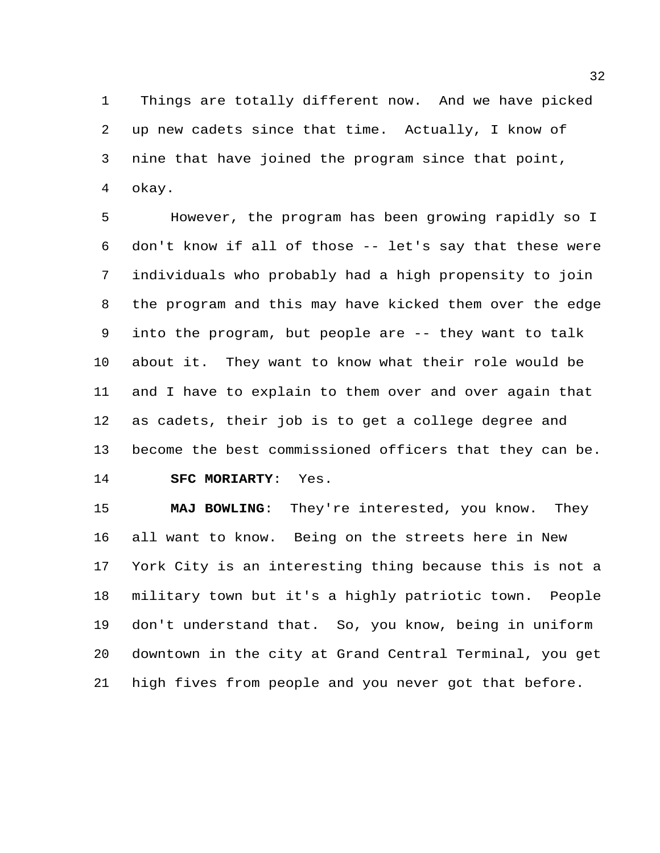Things are totally different now. And we have picked up new cadets since that time. Actually, I know of nine that have joined the program since that point, okay.

 However, the program has been growing rapidly so I don't know if all of those -- let's say that these were individuals who probably had a high propensity to join the program and this may have kicked them over the edge into the program, but people are -- they want to talk about it. They want to know what their role would be and I have to explain to them over and over again that as cadets, their job is to get a college degree and become the best commissioned officers that they can be. **SFC MORIARTY**: Yes.

 **MAJ BOWLING**: They're interested, you know. They all want to know. Being on the streets here in New York City is an interesting thing because this is not a military town but it's a highly patriotic town. People don't understand that. So, you know, being in uniform downtown in the city at Grand Central Terminal, you get high fives from people and you never got that before.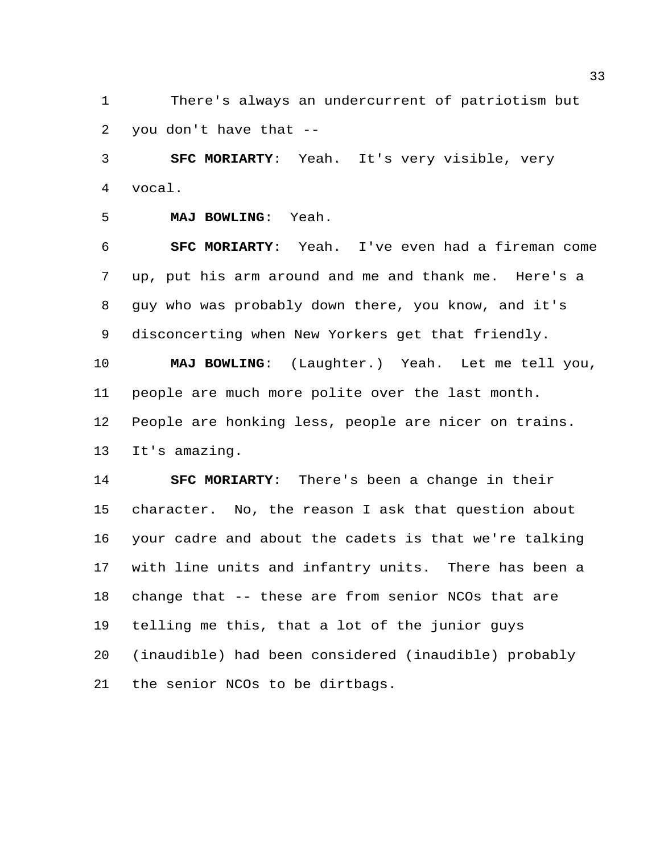There's always an undercurrent of patriotism but you don't have that --

 **SFC MORIARTY**: Yeah. It's very visible, very vocal.

```
5 MAJ BOWLING: Yeah.
```
 **SFC MORIARTY**: Yeah. I've even had a fireman come up, put his arm around and me and thank me. Here's a guy who was probably down there, you know, and it's disconcerting when New Yorkers get that friendly.

 **MAJ BOWLING**: (Laughter.) Yeah. Let me tell you, people are much more polite over the last month. People are honking less, people are nicer on trains. It's amazing.

 **SFC MORIARTY**: There's been a change in their character. No, the reason I ask that question about your cadre and about the cadets is that we're talking with line units and infantry units. There has been a change that -- these are from senior NCOs that are telling me this, that a lot of the junior guys (inaudible) had been considered (inaudible) probably the senior NCOs to be dirtbags.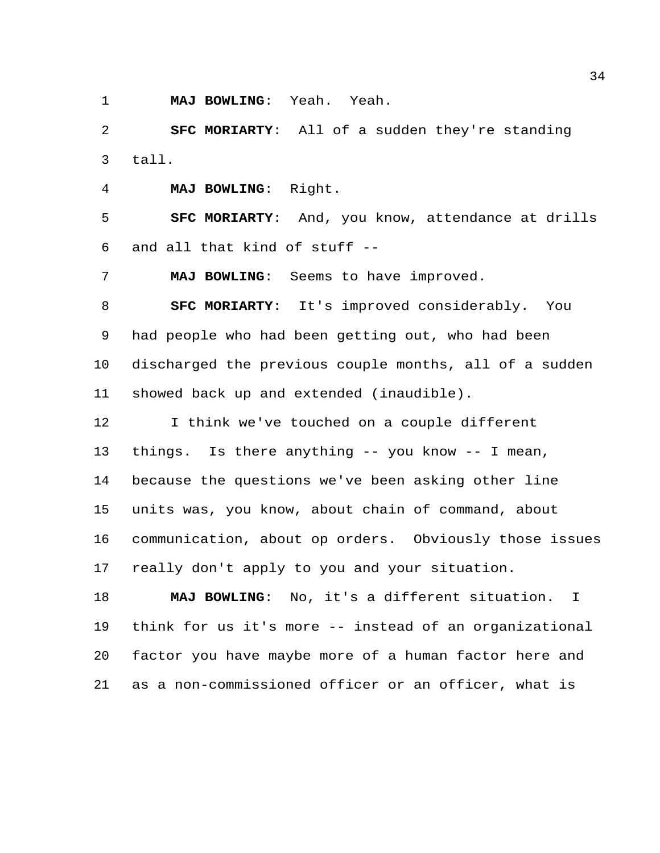**MAJ BOWLING**: Yeah. Yeah.

 **SFC MORIARTY**: All of a sudden they're standing tall.

**MAJ BOWLING**: Right.

 **SFC MORIARTY**: And, you know, attendance at drills and all that kind of stuff --

**MAJ BOWLING**: Seems to have improved.

 **SFC MORIARTY**: It's improved considerably. You had people who had been getting out, who had been discharged the previous couple months, all of a sudden showed back up and extended (inaudible).

 I think we've touched on a couple different things. Is there anything -- you know -- I mean, because the questions we've been asking other line units was, you know, about chain of command, about communication, about op orders. Obviously those issues really don't apply to you and your situation.

 **MAJ BOWLING**: No, it's a different situation. I think for us it's more -- instead of an organizational factor you have maybe more of a human factor here and as a non-commissioned officer or an officer, what is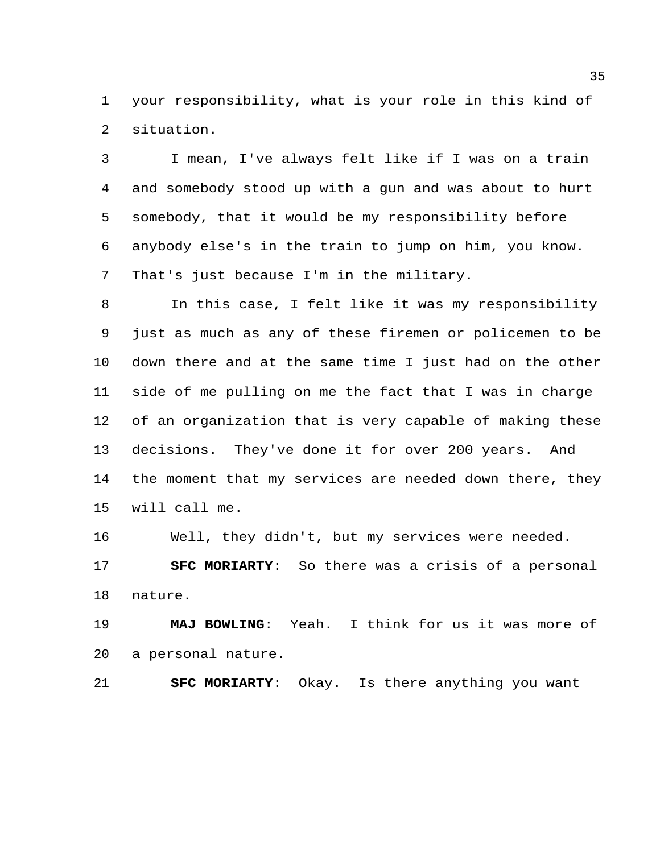your responsibility, what is your role in this kind of situation.

 I mean, I've always felt like if I was on a train and somebody stood up with a gun and was about to hurt somebody, that it would be my responsibility before anybody else's in the train to jump on him, you know. That's just because I'm in the military.

 In this case, I felt like it was my responsibility just as much as any of these firemen or policemen to be down there and at the same time I just had on the other side of me pulling on me the fact that I was in charge of an organization that is very capable of making these decisions. They've done it for over 200 years. And the moment that my services are needed down there, they will call me.

Well, they didn't, but my services were needed.

 **SFC MORIARTY**: So there was a crisis of a personal nature.

 **MAJ BOWLING**: Yeah. I think for us it was more of a personal nature.

**SFC MORIARTY**: Okay. Is there anything you want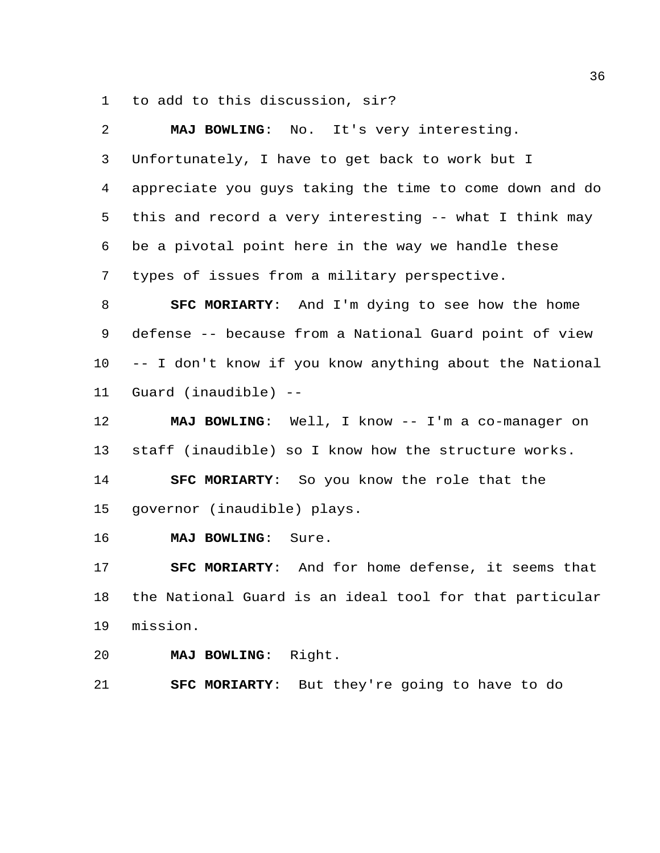to add to this discussion, sir?

| 2  | MAJ BOWLING: No. It's very interesting.                  |
|----|----------------------------------------------------------|
| 3  | Unfortunately, I have to get back to work but I          |
| 4  | appreciate you guys taking the time to come down and do  |
| 5  | this and record a very interesting -- what I think may   |
| 6  | be a pivotal point here in the way we handle these       |
| 7  | types of issues from a military perspective.             |
| 8  | SFC MORIARTY: And I'm dying to see how the home          |
| 9  | defense -- because from a National Guard point of view   |
| 10 | -- I don't know if you know anything about the National  |
| 11 | Guard (inaudible) --                                     |
| 12 | MAJ BOWLING: Well, I know -- I'm a co-manager on         |
| 13 | staff (inaudible) so I know how the structure works.     |
| 14 | SFC MORIARTY: So you know the role that the              |
| 15 | governor (inaudible) plays.                              |
| 16 | MAJ BOWLING: Sure.                                       |
| 17 | <b>SFC MORIARTY:</b> And for home defense, it seems that |
| 18 | the National Guard is an ideal tool for that particular  |
| 19 | mission.                                                 |

**MAJ BOWLING**: Right.

**SFC MORIARTY**: But they're going to have to do